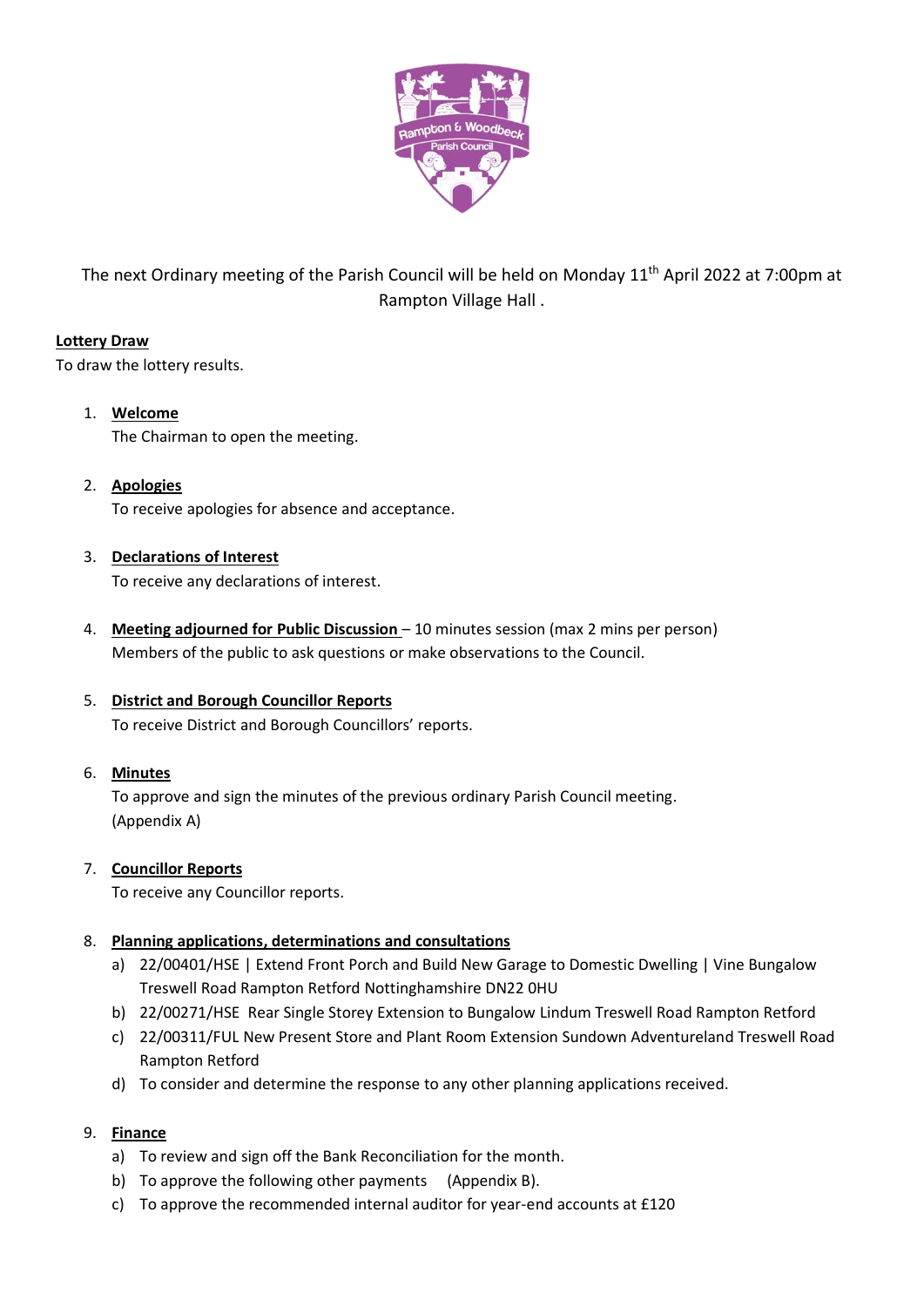

The next Ordinary meeting of the Parish Council will be held on Monday 11<sup>th</sup> April 2022 at 7:00pm at Rampton Village Hall .

# **Lottery Draw**

To draw the lottery results.

- 1. **Welcome** The Chairman to open the meeting.
- 2. **Apologies** To receive apologies for absence and acceptance.
- 3. **Declarations of Interest** To receive any declarations of interest.
- 4. **Meeting adjourned for Public Discussion** 10 minutes session (max 2 mins per person) Members of the public to ask questions or make observations to the Council.

# 5. **District and Borough Councillor Reports**

To receive District and Borough Councillors' reports.

6. **Minutes**

To approve and sign the minutes of the previous ordinary Parish Council meeting. (Appendix A)

## 7. **Councillor Reports**

To receive any Councillor reports.

# 8. **Planning applications, determinations and consultations**

- a) 22/00401/HSE | Extend Front Porch and Build New Garage to Domestic Dwelling | Vine Bungalow Treswell Road Rampton Retford Nottinghamshire DN22 0HU
- b) 22/00271/HSE Rear Single Storey Extension to Bungalow Lindum Treswell Road Rampton Retford
- c) 22/00311/FUL New Present Store and Plant Room Extension Sundown Adventureland Treswell Road Rampton Retford
- d) To consider and determine the response to any other planning applications received.

## 9. **Finance**

- a) To review and sign off the Bank Reconciliation for the month.
- b) To approve the following other payments (Appendix B).
- c) To approve the recommended internal auditor for year-end accounts at £120